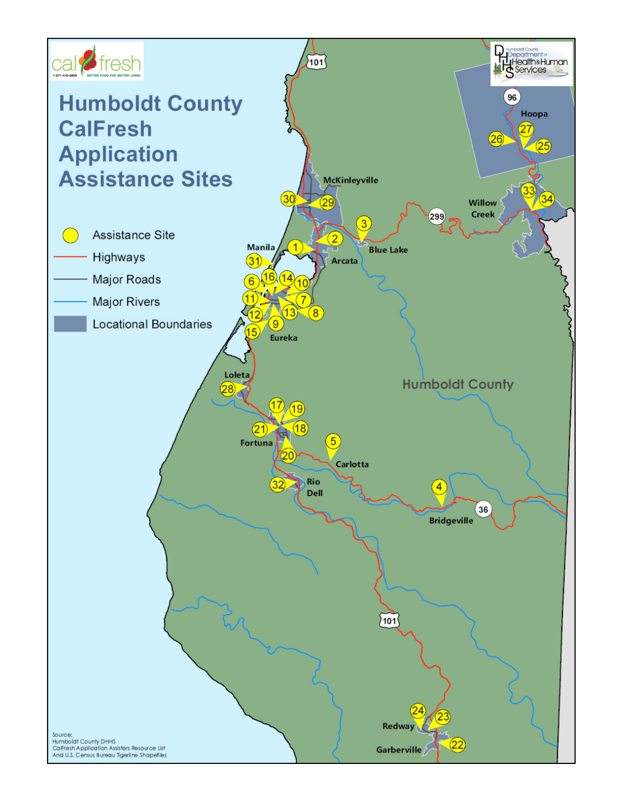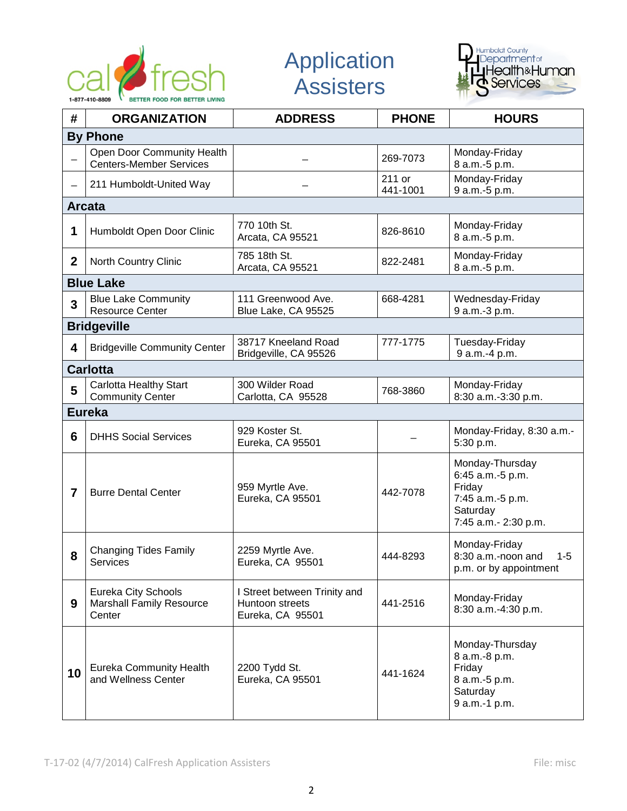

Application **Assisters** 



| #               | <b>ORGANIZATION</b>                                              | <b>ADDRESS</b>                                                      | <b>PHONE</b>       | <b>HOURS</b>                                                                                          |  |  |  |
|-----------------|------------------------------------------------------------------|---------------------------------------------------------------------|--------------------|-------------------------------------------------------------------------------------------------------|--|--|--|
| <b>By Phone</b> |                                                                  |                                                                     |                    |                                                                                                       |  |  |  |
|                 | Open Door Community Health<br><b>Centers-Member Services</b>     |                                                                     | 269-7073           | Monday-Friday<br>8 a.m.-5 p.m.                                                                        |  |  |  |
|                 | 211 Humboldt-United Way                                          |                                                                     | 211 or<br>441-1001 | Monday-Friday<br>9 a.m.-5 p.m.                                                                        |  |  |  |
|                 | <b>Arcata</b>                                                    |                                                                     |                    |                                                                                                       |  |  |  |
| 1               | Humboldt Open Door Clinic                                        | 770 10th St.<br>Arcata, CA 95521                                    | 826-8610           | Monday-Friday<br>8 a.m.-5 p.m.                                                                        |  |  |  |
| $\mathbf{2}$    | North Country Clinic                                             | 785 18th St.<br>Arcata, CA 95521                                    | 822-2481           | Monday-Friday<br>8 a.m.-5 p.m.                                                                        |  |  |  |
|                 | <b>Blue Lake</b>                                                 |                                                                     |                    |                                                                                                       |  |  |  |
| 3               | <b>Blue Lake Community</b><br><b>Resource Center</b>             | 111 Greenwood Ave.<br>Blue Lake, CA 95525                           | 668-4281           | Wednesday-Friday<br>9 a.m.-3 p.m.                                                                     |  |  |  |
|                 | <b>Bridgeville</b>                                               |                                                                     |                    |                                                                                                       |  |  |  |
| 4               | <b>Bridgeville Community Center</b>                              | 38717 Kneeland Road<br>Bridgeville, CA 95526                        | 777-1775           | Tuesday-Friday<br>9 a.m.-4 p.m.                                                                       |  |  |  |
|                 | <b>Carlotta</b>                                                  |                                                                     |                    |                                                                                                       |  |  |  |
| 5               | <b>Carlotta Healthy Start</b><br><b>Community Center</b>         | 300 Wilder Road<br>Carlotta, CA 95528                               | 768-3860           | Monday-Friday<br>8:30 a.m.-3:30 p.m.                                                                  |  |  |  |
|                 | <b>Eureka</b>                                                    |                                                                     |                    |                                                                                                       |  |  |  |
| 6               | <b>DHHS Social Services</b>                                      | 929 Koster St.<br>Eureka, CA 95501                                  |                    | Monday-Friday, 8:30 a.m.-<br>5:30 p.m.                                                                |  |  |  |
| 7               | <b>Burre Dental Center</b>                                       | 959 Myrtle Ave.<br>Eureka, CA 95501                                 | 442-7078           | Monday-Thursday<br>6:45 a.m.-5 p.m.<br>Friday<br>7:45 a.m.-5 p.m.<br>Saturday<br>7:45 a.m.- 2:30 p.m. |  |  |  |
| 8               | <b>Changing Tides Family</b><br><b>Services</b>                  | 2259 Myrtle Ave.<br>Eureka, CA 95501                                | 444-8293           | Monday-Friday<br>8:30 a.m.-noon and<br>$1 - 5$<br>p.m. or by appointment                              |  |  |  |
| 9               | Eureka City Schools<br><b>Marshall Family Resource</b><br>Center | I Street between Trinity and<br>Huntoon streets<br>Eureka, CA 95501 | 441-2516           | Monday-Friday<br>8:30 a.m.-4:30 p.m.                                                                  |  |  |  |
| 10              | <b>Eureka Community Health</b><br>and Wellness Center            | 2200 Tydd St.<br>Eureka, CA 95501                                   | 441-1624           | Monday-Thursday<br>8 a.m.-8 p.m.<br>Friday<br>8 a.m.-5 p.m.<br>Saturday<br>9 a.m.-1 p.m.              |  |  |  |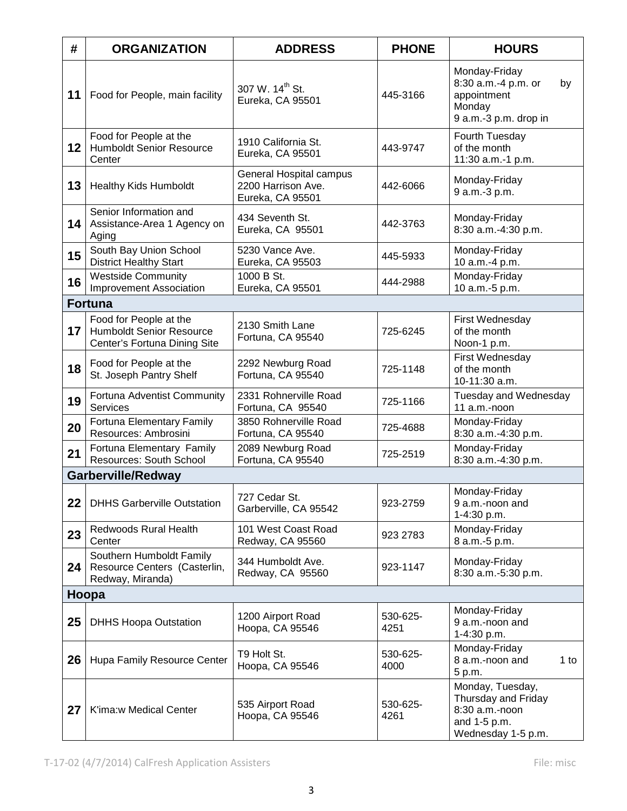| #       | <b>ORGANIZATION</b>                                                                       | <b>ADDRESS</b>                                                    | <b>PHONE</b>     | <b>HOURS</b>                                                                                    |  |  |
|---------|-------------------------------------------------------------------------------------------|-------------------------------------------------------------------|------------------|-------------------------------------------------------------------------------------------------|--|--|
| 11      | Food for People, main facility                                                            | 307 W. 14 <sup>th</sup> St.<br>Eureka, CA 95501                   | 445-3166         | Monday-Friday<br>8:30 a.m.-4 p.m. or<br>by<br>appointment<br>Monday<br>9 a.m.-3 p.m. drop in    |  |  |
| $12 \,$ | Food for People at the<br><b>Humboldt Senior Resource</b><br>Center                       | 1910 California St.<br>Eureka, CA 95501                           | 443-9747         | Fourth Tuesday<br>of the month<br>11:30 a.m.-1 p.m.                                             |  |  |
| 13      | <b>Healthy Kids Humboldt</b>                                                              | General Hospital campus<br>2200 Harrison Ave.<br>Eureka, CA 95501 | 442-6066         | Monday-Friday<br>9 a.m.-3 p.m.                                                                  |  |  |
| 14      | Senior Information and<br>Assistance-Area 1 Agency on<br>Aging                            | 434 Seventh St.<br>Eureka, CA 95501                               | 442-3763         | Monday-Friday<br>8:30 a.m.-4:30 p.m.                                                            |  |  |
| 15      | South Bay Union School<br><b>District Healthy Start</b>                                   | 5230 Vance Ave.<br>Eureka, CA 95503                               | 445-5933         | Monday-Friday<br>10 a.m.-4 p.m.                                                                 |  |  |
| 16      | <b>Westside Community</b><br><b>Improvement Association</b>                               | 1000 B St.<br>Eureka, CA 95501                                    | 444-2988         | Monday-Friday<br>10 a.m.-5 p.m.                                                                 |  |  |
|         | <b>Fortuna</b>                                                                            |                                                                   |                  |                                                                                                 |  |  |
| 17      | Food for People at the<br><b>Humboldt Senior Resource</b><br>Center's Fortuna Dining Site | 2130 Smith Lane<br>Fortuna, CA 95540                              | 725-6245         | First Wednesday<br>of the month<br>Noon-1 p.m.                                                  |  |  |
| 18      | Food for People at the<br>St. Joseph Pantry Shelf                                         | 2292 Newburg Road<br>Fortuna, CA 95540                            | 725-1148         | First Wednesday<br>of the month<br>10-11:30 a.m.                                                |  |  |
| 19      | Fortuna Adventist Community<br>Services                                                   | 2331 Rohnerville Road<br>Fortuna, CA 95540                        | 725-1166         | Tuesday and Wednesday<br>11 a.m.-noon                                                           |  |  |
| 20      | <b>Fortuna Elementary Family</b><br>Resources: Ambrosini                                  | 3850 Rohnerville Road<br>Fortuna, CA 95540                        | 725-4688         | Monday-Friday<br>8:30 a.m.-4:30 p.m.                                                            |  |  |
| 21      | Fortuna Elementary Family<br>Resources: South School                                      | 2089 Newburg Road<br>Fortuna, CA 95540                            | 725-2519         | Monday-Friday<br>8:30 a.m.-4:30 p.m.                                                            |  |  |
|         | <b>Garberville/Redway</b>                                                                 |                                                                   |                  |                                                                                                 |  |  |
| 22      | <b>DHHS Garberville Outstation</b>                                                        | 727 Cedar St.<br>Garberville, CA 95542                            | 923-2759         | Monday-Friday<br>9 a.m.-noon and<br>1-4:30 p.m.                                                 |  |  |
| 23      | <b>Redwoods Rural Health</b><br>Center                                                    | 101 West Coast Road<br>Redway, CA 95560                           | 923 2783         | Monday-Friday<br>8 a.m.-5 p.m.                                                                  |  |  |
| 24      | Southern Humboldt Family<br>Resource Centers (Casterlin,<br>Redway, Miranda)              | 344 Humboldt Ave.<br>Redway, CA 95560                             | 923-1147         | Monday-Friday<br>8:30 a.m.-5:30 p.m.                                                            |  |  |
| Hoopa   |                                                                                           |                                                                   |                  |                                                                                                 |  |  |
| 25      | <b>DHHS Hoopa Outstation</b>                                                              | 1200 Airport Road<br>Hoopa, CA 95546                              | 530-625-<br>4251 | Monday-Friday<br>9 a.m.-noon and<br>1-4:30 p.m.                                                 |  |  |
| 26      | Hupa Family Resource Center                                                               | T9 Holt St.<br>Hoopa, CA 95546                                    | 530-625-<br>4000 | Monday-Friday<br>8 a.m.-noon and<br>$1$ to<br>5 p.m.                                            |  |  |
| 27      | K'ima:w Medical Center                                                                    | 535 Airport Road<br>Hoopa, CA 95546                               | 530-625-<br>4261 | Monday, Tuesday,<br>Thursday and Friday<br>8:30 a.m.-noon<br>and 1-5 p.m.<br>Wednesday 1-5 p.m. |  |  |